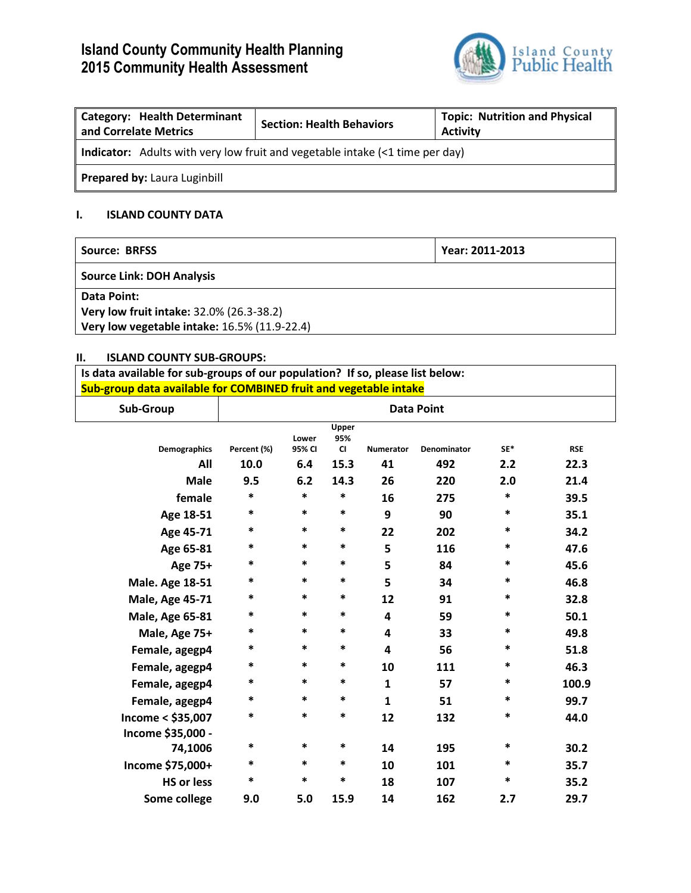# **Island County Community Health Planning 2015 Community Health Assessment**



| <b>Category: Health Determinant</b><br>and Correlate Metrics                        | <b>Section: Health Behaviors</b> | <b>Topic: Nutrition and Physical</b><br><b>Activity</b> |  |  |  |  |
|-------------------------------------------------------------------------------------|----------------------------------|---------------------------------------------------------|--|--|--|--|
| <b>Indicator:</b> Adults with very low fruit and vegetable intake (<1 time per day) |                                  |                                                         |  |  |  |  |
| <b>Prepared by: Laura Luginbill</b>                                                 |                                  |                                                         |  |  |  |  |

### **I. ISLAND COUNTY DATA**

| Source: BRFSS                                | Year: 2011-2013 |  |
|----------------------------------------------|-----------------|--|
| <b>Source Link: DOH Analysis</b>             |                 |  |
| Data Point:                                  |                 |  |
| Very low fruit intake: 32.0% (26.3-38.2)     |                 |  |
| Very low vegetable intake: 16.5% (11.9-22.4) |                 |  |

#### **II. ISLAND COUNTY SUB-GROUPS:**

**Is data available for sub-groups of our population? If so, please list below: Sub-group data available for COMBINED fruit and vegetable intake**

| Sub-Group                  | <b>Data Point</b>   |                        |                                   |                        |                           |            |                    |
|----------------------------|---------------------|------------------------|-----------------------------------|------------------------|---------------------------|------------|--------------------|
| <b>Demographics</b><br>All | Percent (%)<br>10.0 | Lower<br>95% CI<br>6.4 | Upper<br>95%<br><b>CI</b><br>15.3 | <b>Numerator</b><br>41 | <b>Denominator</b><br>492 | SF*<br>2.2 | <b>RSE</b><br>22.3 |
| <b>Male</b>                | 9.5                 | 6.2                    | 14.3                              | 26                     | 220                       | 2.0        | 21.4               |
| female                     | $\ast$              | $\ast$                 | $\ast$                            | 16                     | 275                       | $\ast$     | 39.5               |
| Age 18-51                  | $\ast$              | $\ast$                 | *                                 | 9                      | 90                        | $\ast$     | 35.1               |
| Age 45-71                  | *                   | *                      | $\ast$                            | 22                     | 202                       | *          | 34.2               |
| Age 65-81                  | *                   | $\ast$                 | $\ast$                            | 5                      | 116                       | *          | 47.6               |
| Age 75+                    | $\ast$              | $\ast$                 | $\ast$                            | 5                      | 84                        | *          | 45.6               |
| <b>Male. Age 18-51</b>     | *                   | *                      | $\ast$                            | 5                      | 34                        | *          | 46.8               |
| <b>Male, Age 45-71</b>     | *                   | *                      | *                                 | 12                     | 91                        | *          | 32.8               |
| <b>Male, Age 65-81</b>     | *                   | *                      | $\ast$                            | 4                      | 59                        | *          | 50.1               |
| Male, Age 75+              | *                   | *                      | $\ast$                            | 4                      | 33                        | *          | 49.8               |
| Female, agegp4             | $\ast$              | $\ast$                 | $\ast$                            | 4                      | 56                        | $\ast$     | 51.8               |
| Female, agegp4             | *                   | *                      | $\ast$                            | 10                     | 111                       | *          | 46.3               |
| Female, agegp4             | *                   | *                      | $\ast$                            | 1                      | 57                        | *          | 100.9              |
| Female, agegp4             | *                   | $\ast$                 | $\ast$                            | $\mathbf{1}$           | 51                        | $\ast$     | 99.7               |
| Income < \$35,007          | *                   | *                      | *                                 | 12                     | 132                       | *          | 44.0               |
| Income \$35,000 -          |                     |                        |                                   |                        |                           |            |                    |
| 74,1006                    | *                   | $\ast$                 | *                                 | 14                     | 195                       | *          | 30.2               |
| Income \$75,000+           | *                   | $\ast$                 | $\ast$                            | 10                     | 101                       | *          | 35.7               |
| <b>HS or less</b>          | *                   | *                      | *                                 | 18                     | 107                       | *          | 35.2               |
| Some college               | 9.0                 | 5.0                    | 15.9                              | 14                     | 162                       | 2.7        | 29.7               |